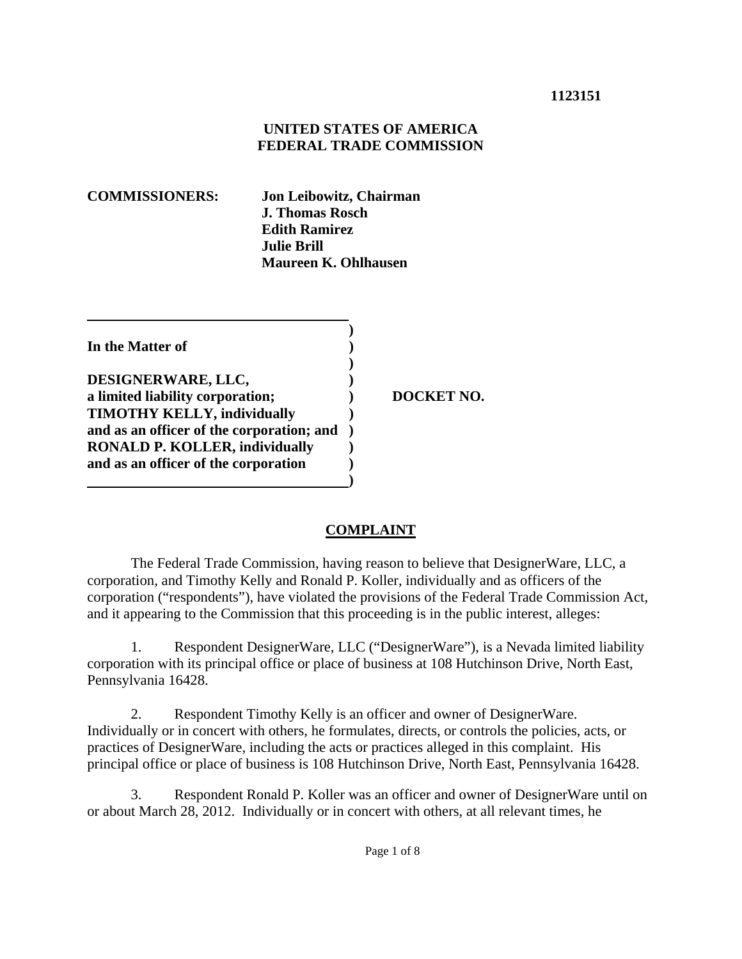### **1123151**

### **UNITED STATES OF AMERICA FEDERAL TRADE COMMISSION**

**COMMISSIONERS: Jon Leibowitz, Chairman J. Thomas Rosch Edith Ramirez Julie Brill Maureen K. Ohlhausen** 

 **) In the Matter of )** 

 **) DESIGNERWARE, LLC, ) a limited liability corporation;**  $\qquad$  **DOCKET NO. TIMOTHY KELLY, individually ) and as an officer of the corporation; and ) RONALD P. KOLLER, individually ) and as an officer of the corporation ) 1 (a) (b) (b) (b) (b) (b) (c) (d)** 

### **COMPLAINT**

The Federal Trade Commission, having reason to believe that DesignerWare, LLC, a corporation, and Timothy Kelly and Ronald P. Koller, individually and as officers of the corporation ("respondents"), have violated the provisions of the Federal Trade Commission Act, and it appearing to the Commission that this proceeding is in the public interest, alleges:

1. Respondent DesignerWare, LLC ("DesignerWare"), is a Nevada limited liability corporation with its principal office or place of business at 108 Hutchinson Drive, North East, Pennsylvania 16428.

2. Respondent Timothy Kelly is an officer and owner of DesignerWare. Individually or in concert with others, he formulates, directs, or controls the policies, acts, or practices of DesignerWare, including the acts or practices alleged in this complaint. His principal office or place of business is 108 Hutchinson Drive, North East, Pennsylvania 16428.

3. Respondent Ronald P. Koller was an officer and owner of DesignerWare until on or about March 28, 2012. Individually or in concert with others, at all relevant times, he

Page 1 of 8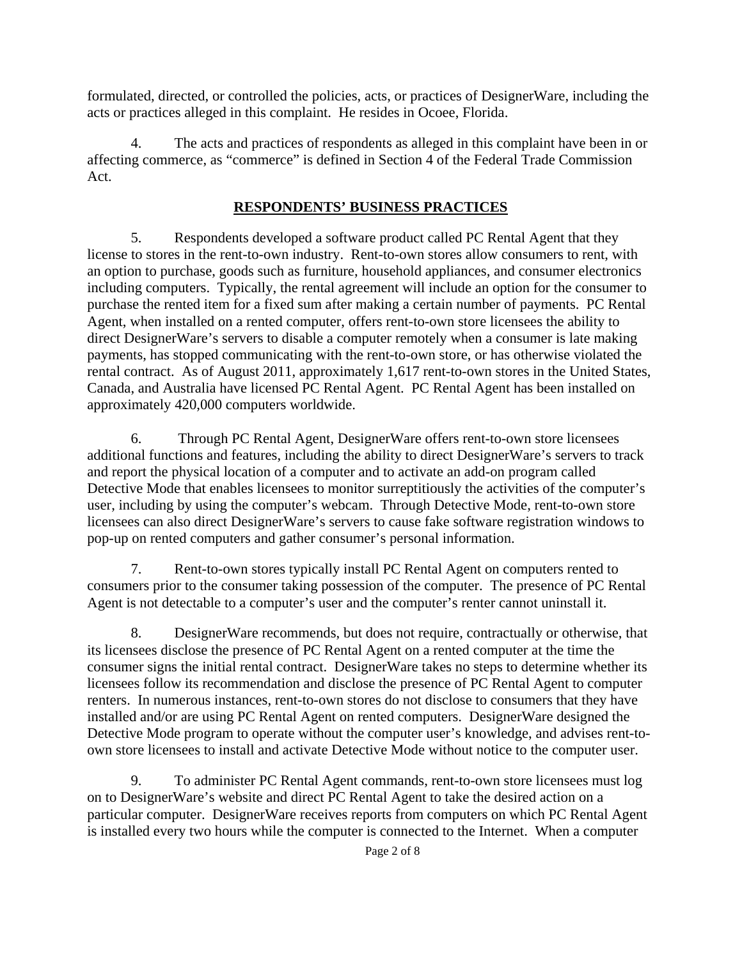formulated, directed, or controlled the policies, acts, or practices of DesignerWare, including the acts or practices alleged in this complaint. He resides in Ocoee, Florida.

4. The acts and practices of respondents as alleged in this complaint have been in or affecting commerce, as "commerce" is defined in Section 4 of the Federal Trade Commission Act.

# **RESPONDENTS' BUSINESS PRACTICES**

5. Respondents developed a software product called PC Rental Agent that they license to stores in the rent-to-own industry. Rent-to-own stores allow consumers to rent, with an option to purchase, goods such as furniture, household appliances, and consumer electronics including computers. Typically, the rental agreement will include an option for the consumer to purchase the rented item for a fixed sum after making a certain number of payments. PC Rental Agent, when installed on a rented computer, offers rent-to-own store licensees the ability to direct DesignerWare's servers to disable a computer remotely when a consumer is late making payments, has stopped communicating with the rent-to-own store, or has otherwise violated the rental contract. As of August 2011, approximately 1,617 rent-to-own stores in the United States, Canada, and Australia have licensed PC Rental Agent. PC Rental Agent has been installed on approximately 420,000 computers worldwide.

6. Through PC Rental Agent, DesignerWare offers rent-to-own store licensees additional functions and features, including the ability to direct DesignerWare's servers to track and report the physical location of a computer and to activate an add-on program called Detective Mode that enables licensees to monitor surreptitiously the activities of the computer's user, including by using the computer's webcam. Through Detective Mode, rent-to-own store licensees can also direct DesignerWare's servers to cause fake software registration windows to pop-up on rented computers and gather consumer's personal information.

7. Rent-to-own stores typically install PC Rental Agent on computers rented to consumers prior to the consumer taking possession of the computer. The presence of PC Rental Agent is not detectable to a computer's user and the computer's renter cannot uninstall it.

8. DesignerWare recommends, but does not require, contractually or otherwise, that its licensees disclose the presence of PC Rental Agent on a rented computer at the time the consumer signs the initial rental contract. DesignerWare takes no steps to determine whether its licensees follow its recommendation and disclose the presence of PC Rental Agent to computer renters. In numerous instances, rent-to-own stores do not disclose to consumers that they have installed and/or are using PC Rental Agent on rented computers. DesignerWare designed the Detective Mode program to operate without the computer user's knowledge, and advises rent-toown store licensees to install and activate Detective Mode without notice to the computer user.

9. To administer PC Rental Agent commands, rent-to-own store licensees must log on to DesignerWare's website and direct PC Rental Agent to take the desired action on a particular computer. DesignerWare receives reports from computers on which PC Rental Agent is installed every two hours while the computer is connected to the Internet. When a computer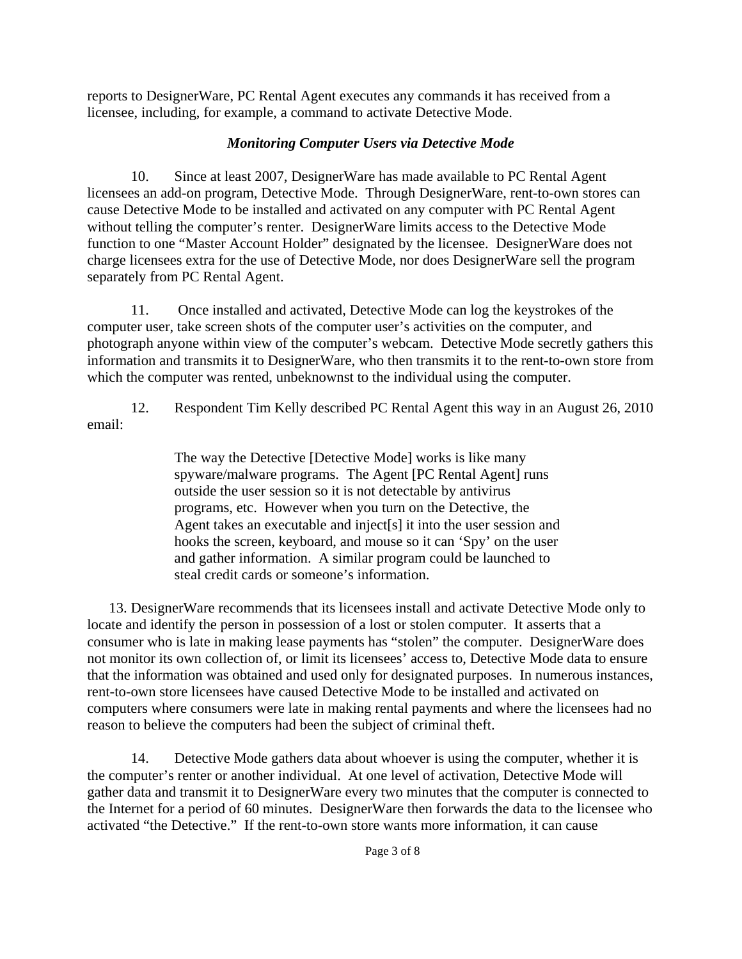reports to DesignerWare, PC Rental Agent executes any commands it has received from a licensee, including, for example, a command to activate Detective Mode.

# *Monitoring Computer Users via Detective Mode*

10. Since at least 2007, DesignerWare has made available to PC Rental Agent licensees an add-on program, Detective Mode. Through DesignerWare, rent-to-own stores can cause Detective Mode to be installed and activated on any computer with PC Rental Agent without telling the computer's renter. DesignerWare limits access to the Detective Mode function to one "Master Account Holder" designated by the licensee. DesignerWare does not charge licensees extra for the use of Detective Mode, nor does DesignerWare sell the program separately from PC Rental Agent.

11. Once installed and activated, Detective Mode can log the keystrokes of the computer user, take screen shots of the computer user's activities on the computer, and photograph anyone within view of the computer's webcam. Detective Mode secretly gathers this information and transmits it to DesignerWare, who then transmits it to the rent-to-own store from which the computer was rented, unbeknownst to the individual using the computer.

12. Respondent Tim Kelly described PC Rental Agent this way in an August 26, 2010 email:

> The way the Detective [Detective Mode] works is like many spyware/malware programs. The Agent [PC Rental Agent] runs outside the user session so it is not detectable by antivirus programs, etc. However when you turn on the Detective, the Agent takes an executable and inject[s] it into the user session and hooks the screen, keyboard, and mouse so it can 'Spy' on the user and gather information. A similar program could be launched to steal credit cards or someone's information.

13. DesignerWare recommends that its licensees install and activate Detective Mode only to locate and identify the person in possession of a lost or stolen computer. It asserts that a consumer who is late in making lease payments has "stolen" the computer. DesignerWare does not monitor its own collection of, or limit its licensees' access to, Detective Mode data to ensure that the information was obtained and used only for designated purposes. In numerous instances, rent-to-own store licensees have caused Detective Mode to be installed and activated on computers where consumers were late in making rental payments and where the licensees had no reason to believe the computers had been the subject of criminal theft.

14. Detective Mode gathers data about whoever is using the computer, whether it is the computer's renter or another individual. At one level of activation, Detective Mode will gather data and transmit it to DesignerWare every two minutes that the computer is connected to the Internet for a period of 60 minutes. DesignerWare then forwards the data to the licensee who activated "the Detective." If the rent-to-own store wants more information, it can cause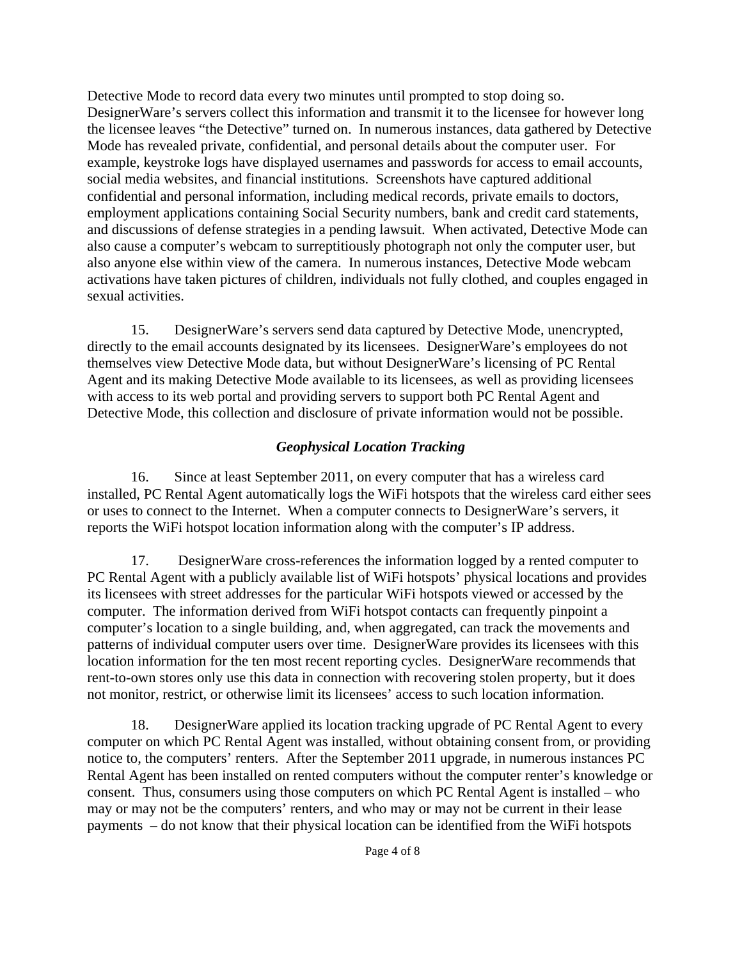Detective Mode to record data every two minutes until prompted to stop doing so. DesignerWare's servers collect this information and transmit it to the licensee for however long the licensee leaves "the Detective" turned on. In numerous instances, data gathered by Detective Mode has revealed private, confidential, and personal details about the computer user. For example, keystroke logs have displayed usernames and passwords for access to email accounts, social media websites, and financial institutions. Screenshots have captured additional confidential and personal information, including medical records, private emails to doctors, employment applications containing Social Security numbers, bank and credit card statements, and discussions of defense strategies in a pending lawsuit. When activated, Detective Mode can also cause a computer's webcam to surreptitiously photograph not only the computer user, but also anyone else within view of the camera. In numerous instances, Detective Mode webcam activations have taken pictures of children, individuals not fully clothed, and couples engaged in sexual activities.

15. DesignerWare's servers send data captured by Detective Mode, unencrypted, directly to the email accounts designated by its licensees. DesignerWare's employees do not themselves view Detective Mode data, but without DesignerWare's licensing of PC Rental Agent and its making Detective Mode available to its licensees, as well as providing licensees with access to its web portal and providing servers to support both PC Rental Agent and Detective Mode, this collection and disclosure of private information would not be possible.

# *Geophysical Location Tracking*

16. Since at least September 2011, on every computer that has a wireless card installed, PC Rental Agent automatically logs the WiFi hotspots that the wireless card either sees or uses to connect to the Internet. When a computer connects to DesignerWare's servers, it reports the WiFi hotspot location information along with the computer's IP address.

17. DesignerWare cross-references the information logged by a rented computer to PC Rental Agent with a publicly available list of WiFi hotspots' physical locations and provides its licensees with street addresses for the particular WiFi hotspots viewed or accessed by the computer. The information derived from WiFi hotspot contacts can frequently pinpoint a computer's location to a single building, and, when aggregated, can track the movements and patterns of individual computer users over time. DesignerWare provides its licensees with this location information for the ten most recent reporting cycles. DesignerWare recommends that rent-to-own stores only use this data in connection with recovering stolen property, but it does not monitor, restrict, or otherwise limit its licensees' access to such location information.

18. DesignerWare applied its location tracking upgrade of PC Rental Agent to every computer on which PC Rental Agent was installed, without obtaining consent from, or providing notice to, the computers' renters. After the September 2011 upgrade, in numerous instances PC Rental Agent has been installed on rented computers without the computer renter's knowledge or consent. Thus, consumers using those computers on which PC Rental Agent is installed – who may or may not be the computers' renters, and who may or may not be current in their lease payments – do not know that their physical location can be identified from the WiFi hotspots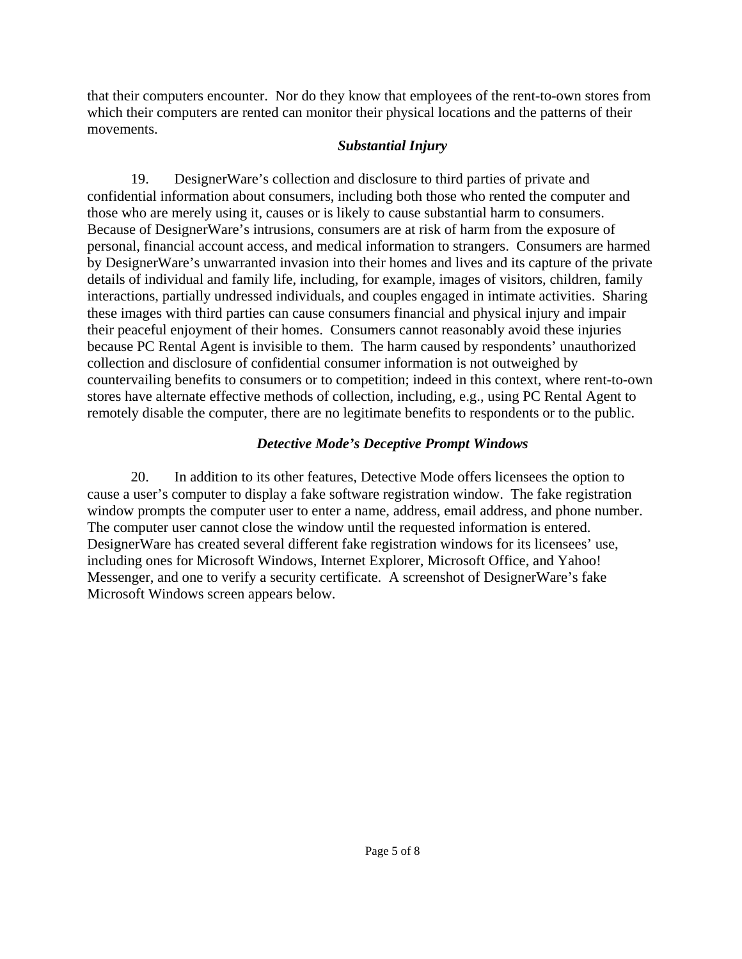that their computers encounter. Nor do they know that employees of the rent-to-own stores from which their computers are rented can monitor their physical locations and the patterns of their movements.

### *Substantial Injury*

19. DesignerWare's collection and disclosure to third parties of private and confidential information about consumers, including both those who rented the computer and those who are merely using it, causes or is likely to cause substantial harm to consumers. Because of DesignerWare's intrusions, consumers are at risk of harm from the exposure of personal, financial account access, and medical information to strangers. Consumers are harmed by DesignerWare's unwarranted invasion into their homes and lives and its capture of the private details of individual and family life, including, for example, images of visitors, children, family interactions, partially undressed individuals, and couples engaged in intimate activities. Sharing these images with third parties can cause consumers financial and physical injury and impair their peaceful enjoyment of their homes. Consumers cannot reasonably avoid these injuries because PC Rental Agent is invisible to them. The harm caused by respondents' unauthorized collection and disclosure of confidential consumer information is not outweighed by countervailing benefits to consumers or to competition; indeed in this context, where rent-to-own stores have alternate effective methods of collection, including, e.g., using PC Rental Agent to remotely disable the computer, there are no legitimate benefits to respondents or to the public.

## *Detective Mode's Deceptive Prompt Windows*

20. In addition to its other features, Detective Mode offers licensees the option to cause a user's computer to display a fake software registration window. The fake registration window prompts the computer user to enter a name, address, email address, and phone number. The computer user cannot close the window until the requested information is entered. DesignerWare has created several different fake registration windows for its licensees' use, including ones for Microsoft Windows, Internet Explorer, Microsoft Office, and Yahoo! Messenger, and one to verify a security certificate. A screenshot of DesignerWare's fake Microsoft Windows screen appears below.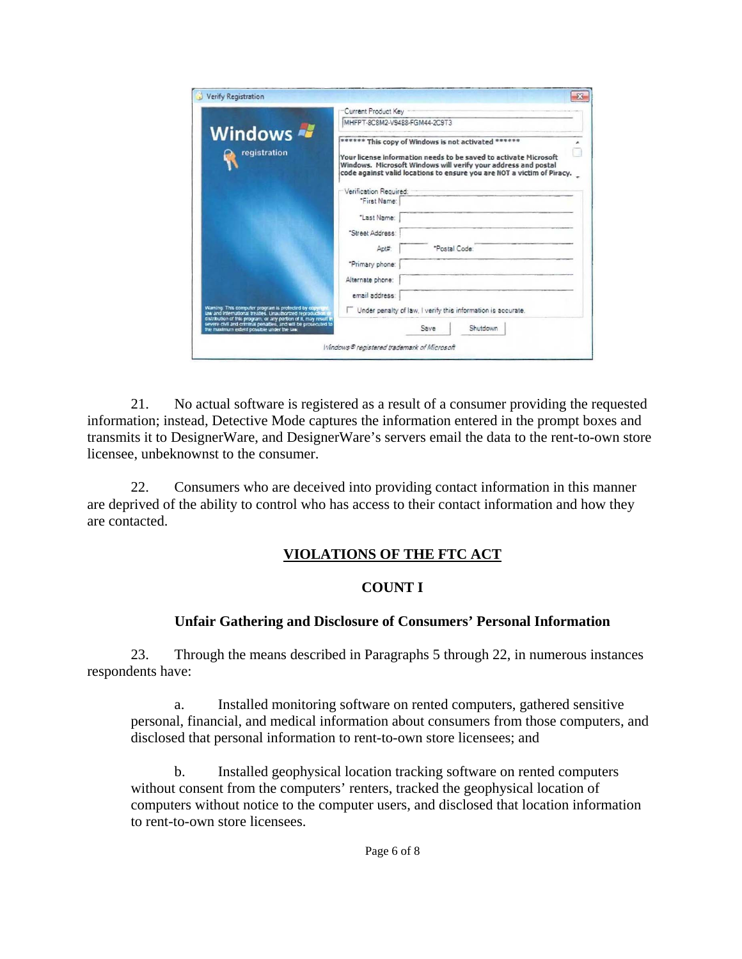| Windows<br>registration                                           | Current Product Key                                                                                                                                                                                                                                                                                  |                                                              |  |
|-------------------------------------------------------------------|------------------------------------------------------------------------------------------------------------------------------------------------------------------------------------------------------------------------------------------------------------------------------------------------------|--------------------------------------------------------------|--|
|                                                                   | MHFPT-8C8M2-V9488-FGM44-2C9T3<br>****** This copy of Windows is not activated ******<br>Your license information needs to be saved to activate Microsoft<br>Windows. Microsoft Windows will verify your address and postal<br>code against valid locations to ensure you are NOT a victim of Piracy. |                                                              |  |
|                                                                   |                                                                                                                                                                                                                                                                                                      |                                                              |  |
|                                                                   | "First Name:                                                                                                                                                                                                                                                                                         |                                                              |  |
|                                                                   | "Last Name:                                                                                                                                                                                                                                                                                          |                                                              |  |
|                                                                   | "Street Address:                                                                                                                                                                                                                                                                                     |                                                              |  |
|                                                                   | $\Delta$ pt $\sharp$                                                                                                                                                                                                                                                                                 | "Postal Code:                                                |  |
|                                                                   | "Primary phone:                                                                                                                                                                                                                                                                                      |                                                              |  |
|                                                                   | Alternate phone:                                                                                                                                                                                                                                                                                     |                                                              |  |
|                                                                   | email address:                                                                                                                                                                                                                                                                                       |                                                              |  |
|                                                                   | Waming. This computer program is protected by copyright<br>law and International treaties. Unauthorized reproduction                                                                                                                                                                                 | Under penalty of law, I verify this information is accurate. |  |
| clistribution of this program, or any portion of it, may result i |                                                                                                                                                                                                                                                                                                      |                                                              |  |

21. No actual software is registered as a result of a consumer providing the requested information; instead, Detective Mode captures the information entered in the prompt boxes and transmits it to DesignerWare, and DesignerWare's servers email the data to the rent-to-own store licensee, unbeknownst to the consumer.

22. Consumers who are deceived into providing contact information in this manner are deprived of the ability to control who has access to their contact information and how they are contacted.

### **VIOLATIONS OF THE FTC ACT**

#### **COUNT I**

#### **Unfair Gathering and Disclosure of Consumers' Personal Information**

23. Through the means described in Paragraphs 5 through 22, in numerous instances respondents have:

a. Installed monitoring software on rented computers, gathered sensitive personal, financial, and medical information about consumers from those computers, and disclosed that personal information to rent-to-own store licensees; and

b. Installed geophysical location tracking software on rented computers without consent from the computers' renters, tracked the geophysical location of computers without notice to the computer users, and disclosed that location information to rent-to-own store licensees.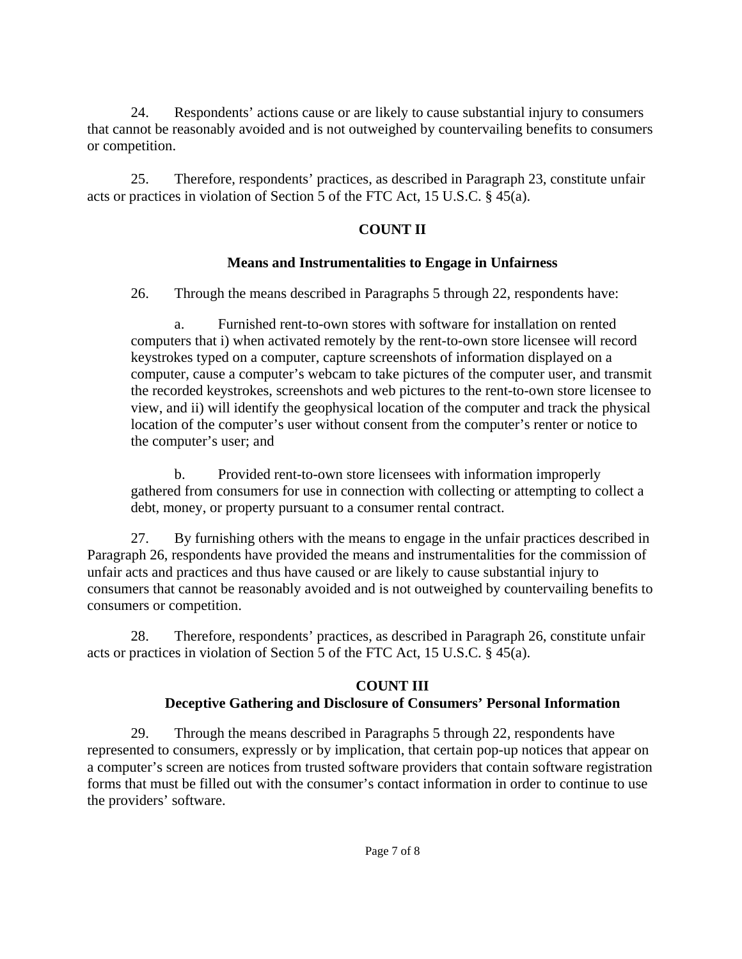24. Respondents' actions cause or are likely to cause substantial injury to consumers that cannot be reasonably avoided and is not outweighed by countervailing benefits to consumers or competition.

25. Therefore, respondents' practices, as described in Paragraph 23, constitute unfair acts or practices in violation of Section 5 of the FTC Act, 15 U.S.C. § 45(a).

## **COUNT II**

## **Means and Instrumentalities to Engage in Unfairness**

26. Through the means described in Paragraphs 5 through 22, respondents have:

a. Furnished rent-to-own stores with software for installation on rented computers that i) when activated remotely by the rent-to-own store licensee will record keystrokes typed on a computer, capture screenshots of information displayed on a computer, cause a computer's webcam to take pictures of the computer user, and transmit the recorded keystrokes, screenshots and web pictures to the rent-to-own store licensee to view, and ii) will identify the geophysical location of the computer and track the physical location of the computer's user without consent from the computer's renter or notice to the computer's user; and

b. Provided rent-to-own store licensees with information improperly gathered from consumers for use in connection with collecting or attempting to collect a debt, money, or property pursuant to a consumer rental contract.

27. By furnishing others with the means to engage in the unfair practices described in Paragraph 26, respondents have provided the means and instrumentalities for the commission of unfair acts and practices and thus have caused or are likely to cause substantial injury to consumers that cannot be reasonably avoided and is not outweighed by countervailing benefits to consumers or competition.

28. Therefore, respondents' practices, as described in Paragraph 26, constitute unfair acts or practices in violation of Section 5 of the FTC Act, 15 U.S.C. § 45(a).

# **COUNT III Deceptive Gathering and Disclosure of Consumers' Personal Information**

29. Through the means described in Paragraphs 5 through 22, respondents have represented to consumers, expressly or by implication, that certain pop-up notices that appear on a computer's screen are notices from trusted software providers that contain software registration forms that must be filled out with the consumer's contact information in order to continue to use the providers' software.